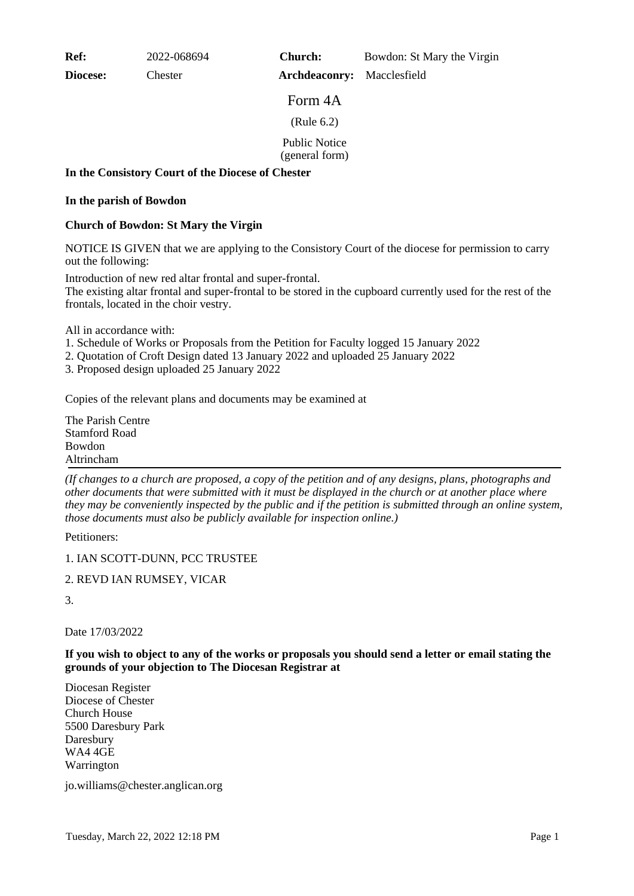**Ref:** 2022-068694

**Diocese:** Chester

**Church:** Bowdon: St Mary the Virgin

**Archdeaconry:** Macclesfield

Form 4A

(Rule 6.2)

Public Notice

(general form)

## **In the Consistory Court of the Diocese of Chester**

## **In the parish of Bowdon**

## **Church of Bowdon: St Mary the Virgin**

NOTICE IS GIVEN that we are applying to the Consistory Court of the diocese for permission to carry out the following:

Introduction of new red altar frontal and super-frontal. The existing altar frontal and super-frontal to be stored in the cupboard currently used for the rest of the frontals, located in the choir vestry.

All in accordance with:

- 1. Schedule of Works or Proposals from the Petition for Faculty logged 15 January 2022
- 2. Quotation of Croft Design dated 13 January 2022 and uploaded 25 January 2022
- 3. Proposed design uploaded 25 January 2022

Copies of the relevant plans and documents may be examined at

The Parish Centre Stamford Road Bowdon Altrincham

*(If changes to a church are proposed, a copy of the petition and of any designs, plans, photographs and other documents that were submitted with it must be displayed in the church or at another place where they may be conveniently inspected by the public and if the petition is submitted through an online system, those documents must also be publicly available for inspection online.)*

Petitioners:

1. IAN SCOTT-DUNN, PCC TRUSTEE

2. REVD IAN RUMSEY, VICAR

3.

Date 17/03/2022

**If you wish to object to any of the works or proposals you should send a letter or email stating the grounds of your objection to The Diocesan Registrar at**

Diocesan Register Diocese of Chester Church House 5500 Daresbury Park Daresbury WA4 4GE Warrington

jo.williams@chester.anglican.org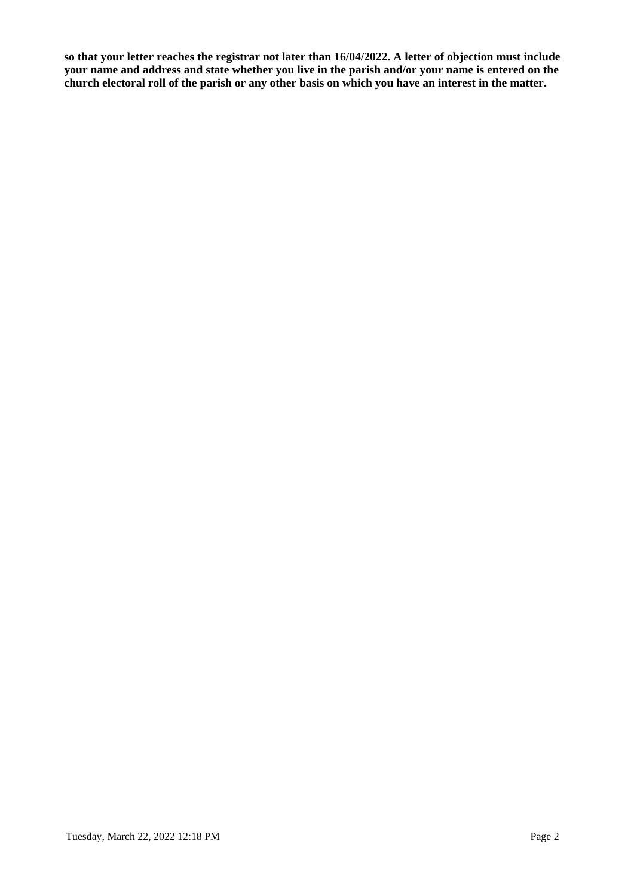**so that your letter reaches the registrar not later than 16/04/2022. A letter of objection must include your name and address and state whether you live in the parish and/or your name is entered on the church electoral roll of the parish or any other basis on which you have an interest in the matter.**